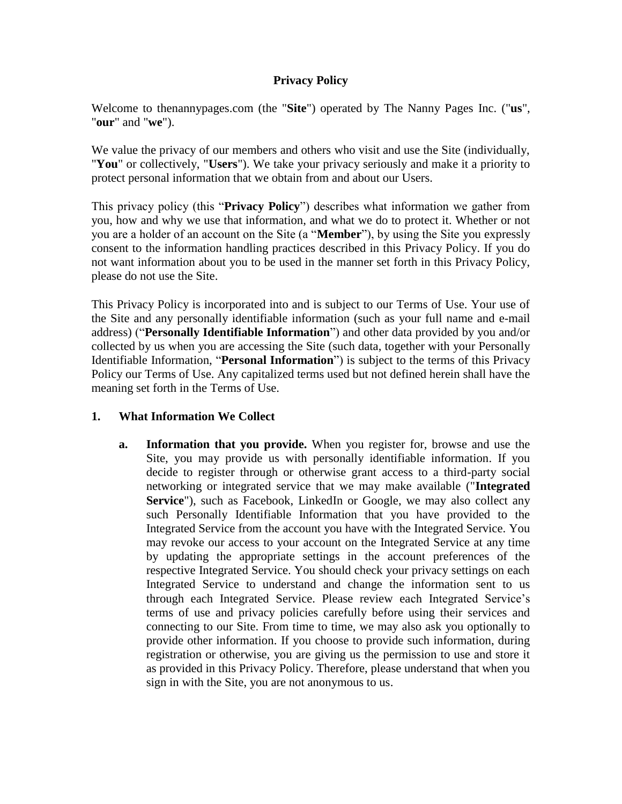### **Privacy Policy**

Welcome to thenannypages.com (the "**Site**") operated by The Nanny Pages Inc. ("**us**", "**our**" and "**we**").

We value the privacy of our members and others who visit and use the Site (individually, "**You**" or collectively, "**Users**"). We take your privacy seriously and make it a priority to protect personal information that we obtain from and about our Users.

This privacy policy (this "**Privacy Policy**") describes what information we gather from you, how and why we use that information, and what we do to protect it. Whether or not you are a holder of an account on the Site (a "**Member**"), by using the Site you expressly consent to the information handling practices described in this Privacy Policy. If you do not want information about you to be used in the manner set forth in this Privacy Policy, please do not use the Site.

This Privacy Policy is incorporated into and is subject to our Terms of Use. Your use of the Site and any personally identifiable information (such as your full name and e-mail address) ("**Personally Identifiable Information**") and other data provided by you and/or collected by us when you are accessing the Site (such data, together with your Personally Identifiable Information, "**Personal Information**") is subject to the terms of this Privacy Policy our Terms of Use. Any capitalized terms used but not defined herein shall have the meaning set forth in the Terms of Use.

### **1. What Information We Collect**

**a. Information that you provide.** When you register for, browse and use the Site, you may provide us with personally identifiable information. If you decide to register through or otherwise grant access to a third-party social networking or integrated service that we may make available ("**Integrated**  Service"), such as Facebook, LinkedIn or Google, we may also collect any such Personally Identifiable Information that you have provided to the Integrated Service from the account you have with the Integrated Service. You may revoke our access to your account on the Integrated Service at any time by updating the appropriate settings in the account preferences of the respective Integrated Service. You should check your privacy settings on each Integrated Service to understand and change the information sent to us through each Integrated Service. Please review each Integrated Service's terms of use and privacy policies carefully before using their services and connecting to our Site. From time to time, we may also ask you optionally to provide other information. If you choose to provide such information, during registration or otherwise, you are giving us the permission to use and store it as provided in this Privacy Policy. Therefore, please understand that when you sign in with the Site, you are not anonymous to us.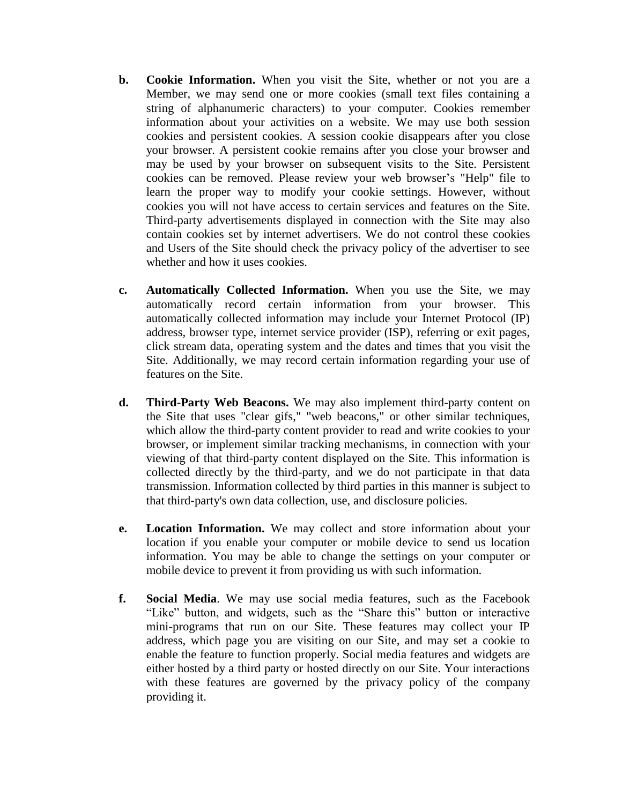- **b. Cookie Information.** When you visit the Site, whether or not you are a Member, we may send one or more cookies (small text files containing a string of alphanumeric characters) to your computer. Cookies remember information about your activities on a website. We may use both session cookies and persistent cookies. A session cookie disappears after you close your browser. A persistent cookie remains after you close your browser and may be used by your browser on subsequent visits to the Site. Persistent cookies can be removed. Please review your web browser's "Help" file to learn the proper way to modify your cookie settings. However, without cookies you will not have access to certain services and features on the Site. Third-party advertisements displayed in connection with the Site may also contain cookies set by internet advertisers. We do not control these cookies and Users of the Site should check the privacy policy of the advertiser to see whether and how it uses cookies.
- **c. Automatically Collected Information.** When you use the Site, we may automatically record certain information from your browser. This automatically collected information may include your Internet Protocol (IP) address, browser type, internet service provider (ISP), referring or exit pages, click stream data, operating system and the dates and times that you visit the Site. Additionally, we may record certain information regarding your use of features on the Site.
- **d. Third-Party Web Beacons.** We may also implement third-party content on the Site that uses "clear gifs," "web beacons," or other similar techniques, which allow the third-party content provider to read and write cookies to your browser, or implement similar tracking mechanisms, in connection with your viewing of that third-party content displayed on the Site. This information is collected directly by the third-party, and we do not participate in that data transmission. Information collected by third parties in this manner is subject to that third-party's own data collection, use, and disclosure policies.
- **e. Location Information.** We may collect and store information about your location if you enable your computer or mobile device to send us location information. You may be able to change the settings on your computer or mobile device to prevent it from providing us with such information.
- **f. Social Media**. We may use social media features, such as the Facebook "Like" button, and widgets, such as the "Share this" button or interactive mini-programs that run on our Site. These features may collect your IP address, which page you are visiting on our Site, and may set a cookie to enable the feature to function properly. Social media features and widgets are either hosted by a third party or hosted directly on our Site. Your interactions with these features are governed by the privacy policy of the company providing it.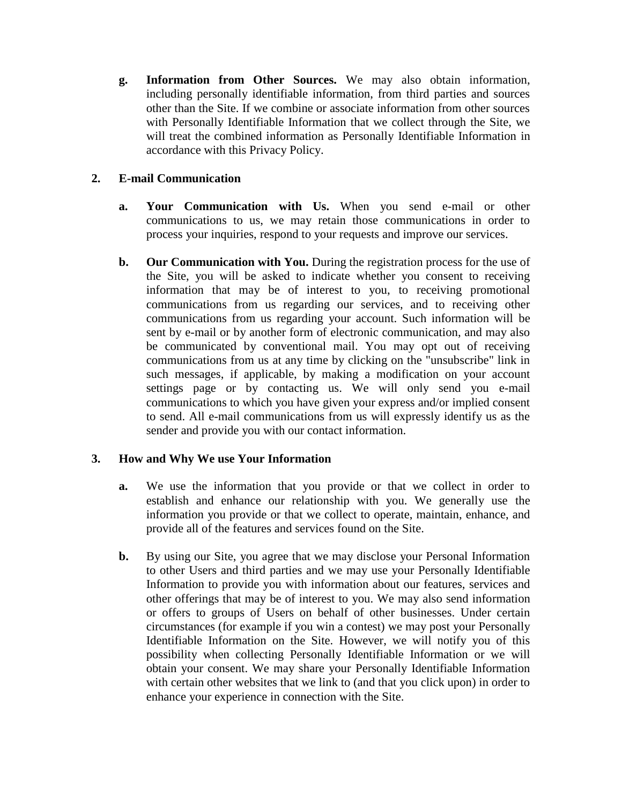**g. Information from Other Sources.** We may also obtain information, including personally identifiable information, from third parties and sources other than the Site. If we combine or associate information from other sources with Personally Identifiable Information that we collect through the Site, we will treat the combined information as Personally Identifiable Information in accordance with this Privacy Policy.

## **2. E-mail Communication**

- **a. Your Communication with Us.** When you send e-mail or other communications to us, we may retain those communications in order to process your inquiries, respond to your requests and improve our services.
- **b. Our Communication with You.** During the registration process for the use of the Site, you will be asked to indicate whether you consent to receiving information that may be of interest to you, to receiving promotional communications from us regarding our services, and to receiving other communications from us regarding your account. Such information will be sent by e-mail or by another form of electronic communication, and may also be communicated by conventional mail. You may opt out of receiving communications from us at any time by clicking on the "unsubscribe" link in such messages, if applicable, by making a modification on your account settings page or by contacting us. We will only send you e-mail communications to which you have given your express and/or implied consent to send. All e-mail communications from us will expressly identify us as the sender and provide you with our contact information.

### **3. How and Why We use Your Information**

- **a.** We use the information that you provide or that we collect in order to establish and enhance our relationship with you. We generally use the information you provide or that we collect to operate, maintain, enhance, and provide all of the features and services found on the Site.
- **b.** By using our Site, you agree that we may disclose your Personal Information to other Users and third parties and we may use your Personally Identifiable Information to provide you with information about our features, services and other offerings that may be of interest to you. We may also send information or offers to groups of Users on behalf of other businesses. Under certain circumstances (for example if you win a contest) we may post your Personally Identifiable Information on the Site. However, we will notify you of this possibility when collecting Personally Identifiable Information or we will obtain your consent. We may share your Personally Identifiable Information with certain other websites that we link to (and that you click upon) in order to enhance your experience in connection with the Site.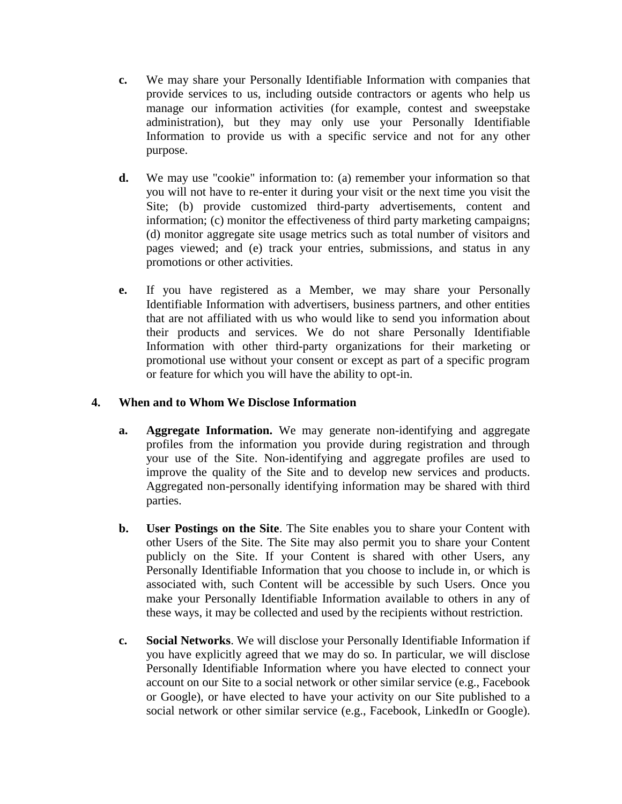- **c.** We may share your Personally Identifiable Information with companies that provide services to us, including outside contractors or agents who help us manage our information activities (for example, contest and sweepstake administration), but they may only use your Personally Identifiable Information to provide us with a specific service and not for any other purpose.
- **d.** We may use "cookie" information to: (a) remember your information so that you will not have to re-enter it during your visit or the next time you visit the Site; (b) provide customized third-party advertisements, content and information; (c) monitor the effectiveness of third party marketing campaigns; (d) monitor aggregate site usage metrics such as total number of visitors and pages viewed; and (e) track your entries, submissions, and status in any promotions or other activities.
- **e.** If you have registered as a Member, we may share your Personally Identifiable Information with advertisers, business partners, and other entities that are not affiliated with us who would like to send you information about their products and services. We do not share Personally Identifiable Information with other third-party organizations for their marketing or promotional use without your consent or except as part of a specific program or feature for which you will have the ability to opt-in.

#### **4. When and to Whom We Disclose Information**

- **a. Aggregate Information.** We may generate non-identifying and aggregate profiles from the information you provide during registration and through your use of the Site. Non-identifying and aggregate profiles are used to improve the quality of the Site and to develop new services and products. Aggregated non-personally identifying information may be shared with third parties.
- **b. User Postings on the Site**. The Site enables you to share your Content with other Users of the Site. The Site may also permit you to share your Content publicly on the Site. If your Content is shared with other Users, any Personally Identifiable Information that you choose to include in, or which is associated with, such Content will be accessible by such Users. Once you make your Personally Identifiable Information available to others in any of these ways, it may be collected and used by the recipients without restriction.
- **c. Social Networks**. We will disclose your Personally Identifiable Information if you have explicitly agreed that we may do so. In particular, we will disclose Personally Identifiable Information where you have elected to connect your account on our Site to a social network or other similar service (e.g., Facebook or Google), or have elected to have your activity on our Site published to a social network or other similar service (e.g., Facebook, LinkedIn or Google).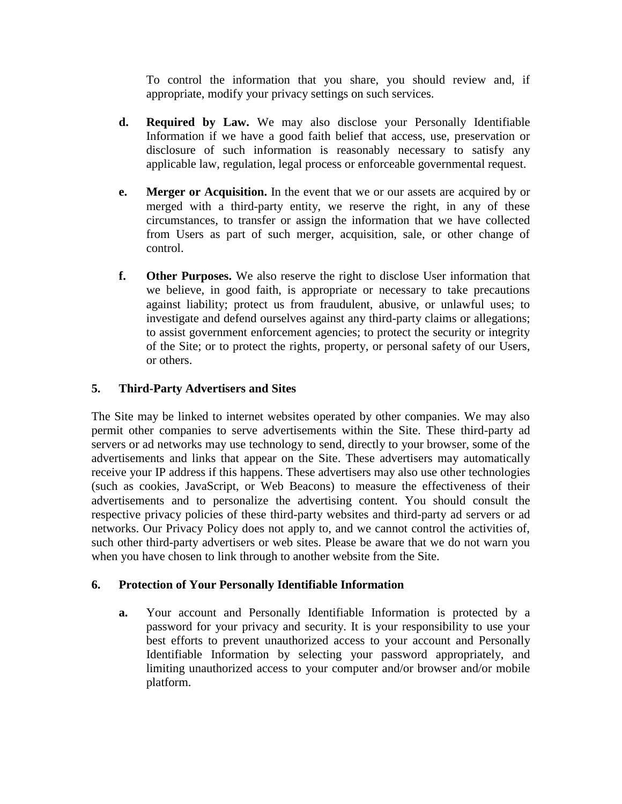To control the information that you share, you should review and, if appropriate, modify your privacy settings on such services.

- **d. Required by Law.** We may also disclose your Personally Identifiable Information if we have a good faith belief that access, use, preservation or disclosure of such information is reasonably necessary to satisfy any applicable law, regulation, legal process or enforceable governmental request.
- **e. Merger or Acquisition.** In the event that we or our assets are acquired by or merged with a third-party entity, we reserve the right, in any of these circumstances, to transfer or assign the information that we have collected from Users as part of such merger, acquisition, sale, or other change of control.
- **f. Other Purposes.** We also reserve the right to disclose User information that we believe, in good faith, is appropriate or necessary to take precautions against liability; protect us from fraudulent, abusive, or unlawful uses; to investigate and defend ourselves against any third-party claims or allegations; to assist government enforcement agencies; to protect the security or integrity of the Site; or to protect the rights, property, or personal safety of our Users, or others.

## **5. Third-Party Advertisers and Sites**

The Site may be linked to internet websites operated by other companies. We may also permit other companies to serve advertisements within the Site. These third-party ad servers or ad networks may use technology to send, directly to your browser, some of the advertisements and links that appear on the Site. These advertisers may automatically receive your IP address if this happens. These advertisers may also use other technologies (such as cookies, JavaScript, or Web Beacons) to measure the effectiveness of their advertisements and to personalize the advertising content. You should consult the respective privacy policies of these third-party websites and third-party ad servers or ad networks. Our Privacy Policy does not apply to, and we cannot control the activities of, such other third-party advertisers or web sites. Please be aware that we do not warn you when you have chosen to link through to another website from the Site.

### **6. Protection of Your Personally Identifiable Information**

**a.** Your account and Personally Identifiable Information is protected by a password for your privacy and security. It is your responsibility to use your best efforts to prevent unauthorized access to your account and Personally Identifiable Information by selecting your password appropriately, and limiting unauthorized access to your computer and/or browser and/or mobile platform.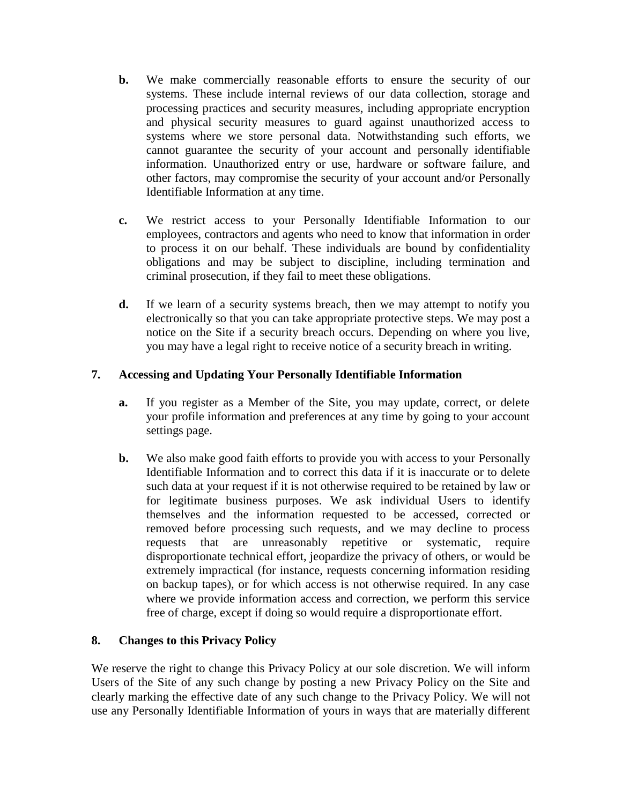- **b.** We make commercially reasonable efforts to ensure the security of our systems. These include internal reviews of our data collection, storage and processing practices and security measures, including appropriate encryption and physical security measures to guard against unauthorized access to systems where we store personal data. Notwithstanding such efforts, we cannot guarantee the security of your account and personally identifiable information. Unauthorized entry or use, hardware or software failure, and other factors, may compromise the security of your account and/or Personally Identifiable Information at any time.
- **c.** We restrict access to your Personally Identifiable Information to our employees, contractors and agents who need to know that information in order to process it on our behalf. These individuals are bound by confidentiality obligations and may be subject to discipline, including termination and criminal prosecution, if they fail to meet these obligations.
- **d.** If we learn of a security systems breach, then we may attempt to notify you electronically so that you can take appropriate protective steps. We may post a notice on the Site if a security breach occurs. Depending on where you live, you may have a legal right to receive notice of a security breach in writing.

### **7. Accessing and Updating Your Personally Identifiable Information**

- **a.** If you register as a Member of the Site, you may update, correct, or delete your profile information and preferences at any time by going to your account settings page.
- **b.** We also make good faith efforts to provide you with access to your Personally Identifiable Information and to correct this data if it is inaccurate or to delete such data at your request if it is not otherwise required to be retained by law or for legitimate business purposes. We ask individual Users to identify themselves and the information requested to be accessed, corrected or removed before processing such requests, and we may decline to process requests that are unreasonably repetitive or systematic, require disproportionate technical effort, jeopardize the privacy of others, or would be extremely impractical (for instance, requests concerning information residing on backup tapes), or for which access is not otherwise required. In any case where we provide information access and correction, we perform this service free of charge, except if doing so would require a disproportionate effort.

# **8. Changes to this Privacy Policy**

We reserve the right to change this Privacy Policy at our sole discretion. We will inform Users of the Site of any such change by posting a new Privacy Policy on the Site and clearly marking the effective date of any such change to the Privacy Policy. We will not use any Personally Identifiable Information of yours in ways that are materially different